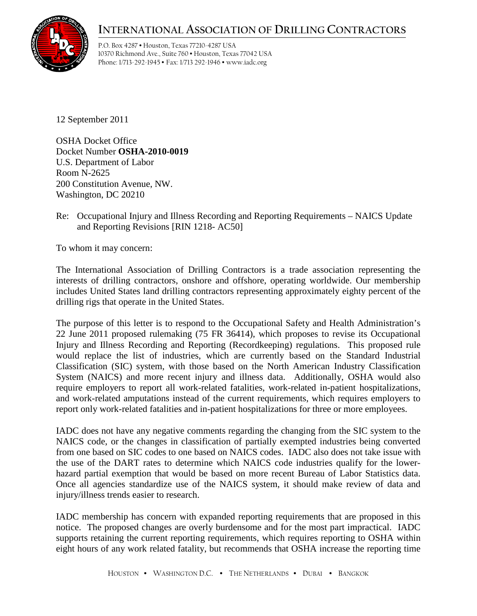## **INTERNATIONAL ASSOCIATION OF DRILLING CONTRACTORS**



P.O. Box 4287 • Houston, Texas 77210-4287 USA 10370 Richmond Ave., Suite 760 • Houston, Texas 77042 USA Phone: 1/713-292-1945 • Fax: 1/713 292-1946 • www.iadc.org

12 September 2011

OSHA Docket Office Docket Number **OSHA-2010-0019** U.S. Department of Labor Room N-2625 200 Constitution Avenue, NW. Washington, DC 20210

Re: Occupational Injury and Illness Recording and Reporting Requirements – NAICS Update and Reporting Revisions [RIN 1218- AC50]

To whom it may concern:

The International Association of Drilling Contractors is a trade association representing the interests of drilling contractors, onshore and offshore, operating worldwide. Our membership includes United States land drilling contractors representing approximately eighty percent of the drilling rigs that operate in the United States.

The purpose of this letter is to respond to the Occupational Safety and Health Administration's 22 June 2011 proposed rulemaking (75 FR 36414), which proposes to revise its Occupational Injury and Illness Recording and Reporting (Recordkeeping) regulations. This proposed rule would replace the list of industries, which are currently based on the Standard Industrial Classification (SIC) system, with those based on the North American Industry Classification System (NAICS) and more recent injury and illness data. Additionally, OSHA would also require employers to report all work-related fatalities, work-related in-patient hospitalizations, and work-related amputations instead of the current requirements, which requires employers to report only work-related fatalities and in-patient hospitalizations for three or more employees.

IADC does not have any negative comments regarding the changing from the SIC system to the NAICS code, or the changes in classification of partially exempted industries being converted from one based on SIC codes to one based on NAICS codes. IADC also does not take issue with the use of the DART rates to determine which NAICS code industries qualify for the lowerhazard partial exemption that would be based on more recent Bureau of Labor Statistics data. Once all agencies standardize use of the NAICS system, it should make review of data and injury/illness trends easier to research.

IADC membership has concern with expanded reporting requirements that are proposed in this notice. The proposed changes are overly burdensome and for the most part impractical. IADC supports retaining the current reporting requirements, which requires reporting to OSHA within eight hours of any work related fatality, but recommends that OSHA increase the reporting time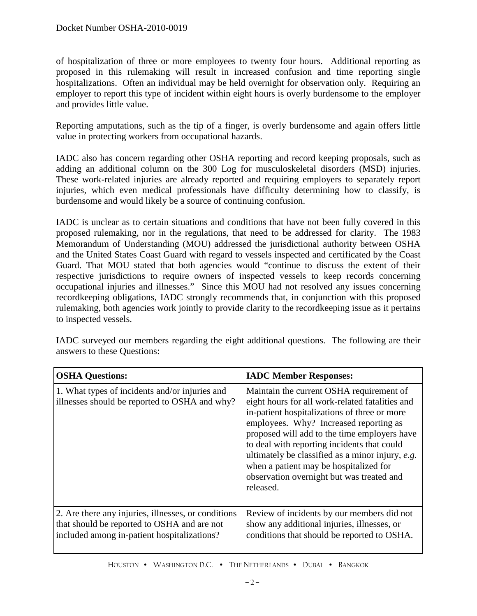of hospitalization of three or more employees to twenty four hours. Additional reporting as proposed in this rulemaking will result in increased confusion and time reporting single hospitalizations. Often an individual may be held overnight for observation only. Requiring an employer to report this type of incident within eight hours is overly burdensome to the employer and provides little value.

Reporting amputations, such as the tip of a finger, is overly burdensome and again offers little value in protecting workers from occupational hazards.

IADC also has concern regarding other OSHA reporting and record keeping proposals, such as adding an additional column on the 300 Log for musculoskeletal disorders (MSD) injuries. These work-related injuries are already reported and requiring employers to separately report injuries, which even medical professionals have difficulty determining how to classify, is burdensome and would likely be a source of continuing confusion.

IADC is unclear as to certain situations and conditions that have not been fully covered in this proposed rulemaking, nor in the regulations, that need to be addressed for clarity. The 1983 Memorandum of Understanding (MOU) addressed the jurisdictional authority between OSHA and the United States Coast Guard with regard to vessels inspected and certificated by the Coast Guard. That MOU stated that both agencies would "continue to discuss the extent of their respective jurisdictions to require owners of inspected vessels to keep records concerning occupational injuries and illnesses." Since this MOU had not resolved any issues concerning recordkeeping obligations, IADC strongly recommends that, in conjunction with this proposed rulemaking, both agencies work jointly to provide clarity to the recordkeeping issue as it pertains to inspected vessels.

IADC surveyed our members regarding the eight additional questions. The following are their answers to these Questions:

| <b>OSHA Questions:</b>                                                                                                                            | <b>IADC Member Responses:</b>                                                                                                                                                                                                                                                                                                                                                                                                                |
|---------------------------------------------------------------------------------------------------------------------------------------------------|----------------------------------------------------------------------------------------------------------------------------------------------------------------------------------------------------------------------------------------------------------------------------------------------------------------------------------------------------------------------------------------------------------------------------------------------|
| 1. What types of incidents and/or injuries and<br>illnesses should be reported to OSHA and why?                                                   | Maintain the current OSHA requirement of<br>eight hours for all work-related fatalities and<br>in-patient hospitalizations of three or more<br>employees. Why? Increased reporting as<br>proposed will add to the time employers have<br>to deal with reporting incidents that could<br>ultimately be classified as a minor injury, e.g.<br>when a patient may be hospitalized for<br>observation overnight but was treated and<br>released. |
| 2. Are there any injuries, illnesses, or conditions<br>that should be reported to OSHA and are not<br>included among in-patient hospitalizations? | Review of incidents by our members did not<br>show any additional injuries, illnesses, or<br>conditions that should be reported to OSHA.                                                                                                                                                                                                                                                                                                     |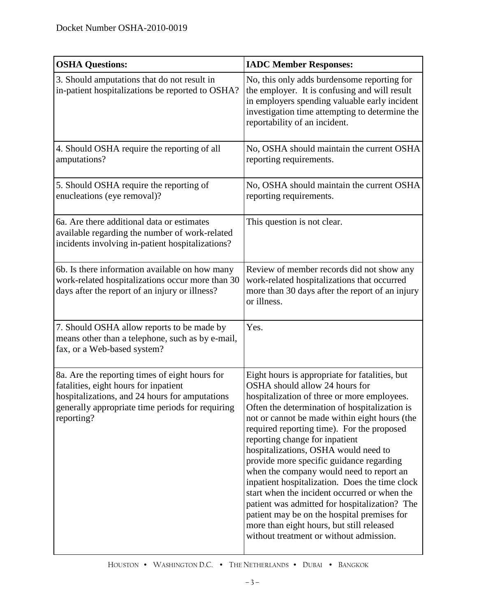| <b>OSHA Questions:</b>                                                                                                                                                                                      | <b>IADC Member Responses:</b>                                                                                                                                                                                                                                                                                                                                                                                                                                                                                                                                                                                                                                                                                                               |
|-------------------------------------------------------------------------------------------------------------------------------------------------------------------------------------------------------------|---------------------------------------------------------------------------------------------------------------------------------------------------------------------------------------------------------------------------------------------------------------------------------------------------------------------------------------------------------------------------------------------------------------------------------------------------------------------------------------------------------------------------------------------------------------------------------------------------------------------------------------------------------------------------------------------------------------------------------------------|
| 3. Should amputations that do not result in<br>in-patient hospitalizations be reported to OSHA?                                                                                                             | No, this only adds burdensome reporting for<br>the employer. It is confusing and will result<br>in employers spending valuable early incident<br>investigation time attempting to determine the<br>reportability of an incident.                                                                                                                                                                                                                                                                                                                                                                                                                                                                                                            |
| 4. Should OSHA require the reporting of all<br>amputations?                                                                                                                                                 | No, OSHA should maintain the current OSHA<br>reporting requirements.                                                                                                                                                                                                                                                                                                                                                                                                                                                                                                                                                                                                                                                                        |
| 5. Should OSHA require the reporting of<br>enucleations (eye removal)?                                                                                                                                      | No, OSHA should maintain the current OSHA<br>reporting requirements.                                                                                                                                                                                                                                                                                                                                                                                                                                                                                                                                                                                                                                                                        |
| 6a. Are there additional data or estimates<br>available regarding the number of work-related<br>incidents involving in-patient hospitalizations?                                                            | This question is not clear.                                                                                                                                                                                                                                                                                                                                                                                                                                                                                                                                                                                                                                                                                                                 |
| 6b. Is there information available on how many<br>work-related hospitalizations occur more than 30<br>days after the report of an injury or illness?                                                        | Review of member records did not show any<br>work-related hospitalizations that occurred<br>more than 30 days after the report of an injury<br>or illness.                                                                                                                                                                                                                                                                                                                                                                                                                                                                                                                                                                                  |
| 7. Should OSHA allow reports to be made by<br>means other than a telephone, such as by e-mail,<br>fax, or a Web-based system?                                                                               | Yes.                                                                                                                                                                                                                                                                                                                                                                                                                                                                                                                                                                                                                                                                                                                                        |
| 8a. Are the reporting times of eight hours for<br>fatalities, eight hours for inpatient<br>hospitalizations, and 24 hours for amputations<br>generally appropriate time periods for requiring<br>reporting? | Eight hours is appropriate for fatalities, but<br>OSHA should allow 24 hours for<br>hospitalization of three or more employees.<br>Often the determination of hospitalization is<br>not or cannot be made within eight hours (the<br>required reporting time). For the proposed<br>reporting change for inpatient<br>hospitalizations, OSHA would need to<br>provide more specific guidance regarding<br>when the company would need to report an<br>inpatient hospitalization. Does the time clock<br>start when the incident occurred or when the<br>patient was admitted for hospitalization? The<br>patient may be on the hospital premises for<br>more than eight hours, but still released<br>without treatment or without admission. |